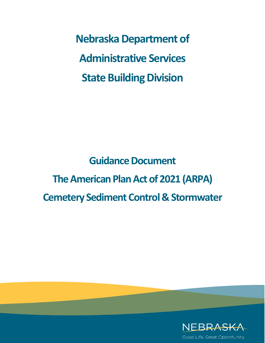**Nebraska Department of Administrative Services State Building Division**

**Guidance Document The American Plan Act of 2021 (ARPA) Cemetery Sediment Control & Stormwater** 

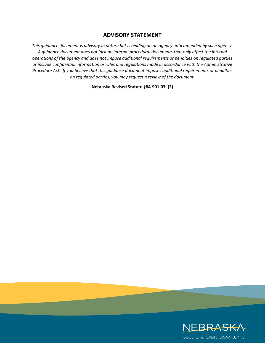## **ADVISORY STATEMENT**

*This guidance document is advisory in nature but is binding on an agency until amended by such agency. A guidance document does not include internal procedural documents that only affect the internal operations of the agency and does not impose additional requirements or penalties on regulated parties or include confidential information or rules and regulations made in accordance with the Administrative Procedure Act. If you believe that this guidance document imposes additional requirements or penalties on regulated parties, you may request a review of the document.* 

### **Nebraska Revised Statute §84-901.03. (2)**

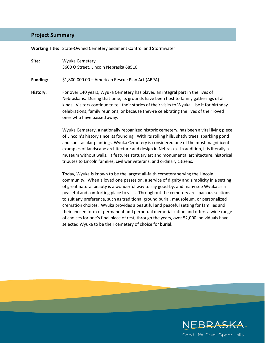### **Project Summary**

**Working Title:** State-Owned Cemetery Sediment Control and Stormwater

**Site:** Wyuka Cemetery 3600 O Street, Lincoln Nebraska 68510

**Funding:** \$1,800,000.00 – American Rescue Plan Act (ARPA)

**History:** For over 140 years, Wyuka Cemetery has played an integral part in the lives of Nebraskans. During that time, its grounds have been host to family gatherings of all kinds. Visitors continue to tell their stories of their visits to Wyuka – be it for birthday celebrations, family reunions, or because they-re celebrating the lives of their loved ones who have passed away.

> Wyuka Cemetery, a nationally recognized historic cemetery, has been a vital living piece of Lincoln's history since its founding. With its rolling hills, shady trees, sparkling pond and spectacular plantings, Wyuka Cemetery is considered one of the most magnificent examples of landscape architecture and design in Nebraska. In addition, it is literally a museum without walls. It features statuary art and monumental architecture, historical tributes to Lincoln families, civil war veterans, and ordinary citizens.

> Today, Wyuka is known to be the largest all-faith cemetery serving the Lincoln community. When a loved one passes on, a service of dignity and simplicity in a setting of great natural beauty is a wonderful way to say good-by, and many see Wyuka as a peaceful and comforting place to visit. Throughout the cemetery are spacious sections to suit any preference, such as traditional ground burial, mausoleum, or personalized cremation choices. Wyuka provides a beautiful and peaceful setting for families and their chosen form of permanent and perpetual memorialization and offers a wide range of choices for one's final place of rest, through the years, over 52,000 individuals have selected Wyuka to be their cemetery of choice for burial.

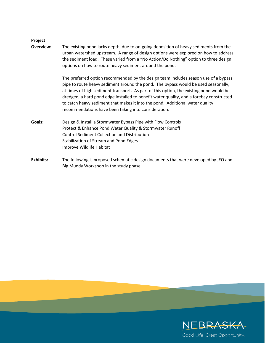### **Project**

**Overview:** The existing pond lacks depth, due to on-going deposition of heavy sediments from the urban watershed upstream. A range of design options were explored on how to address the sediment load. These varied from a "No Action/Do Nothing" option to three design options on how to route heavy sediment around the pond.

> The preferred option recommended by the design team includes season use of a bypass pipe to route heavy sediment around the pond. The bypass would be used seasonally, at times of high sediment transport. As part of this option, the existing pond would be dredged, a hard pond edge installed to benefit water quality, and a forebay constructed to catch heavy sediment that makes it into the pond. Additional water quality recommendations have been taking into consideration.

- **Goals:** Design & Install a Stormwater Bypass Pipe with Flow Controls Protect & Enhance Pond Water Quality & Stormwater Runoff Control Sediment Collection and Distribution Stabilization of Stream and Pond Edges Improve Wildlife Habitat
- **Exhibits:** The following is proposed schematic design documents that were developed by JEO and Big Muddy Workshop in the study phase.

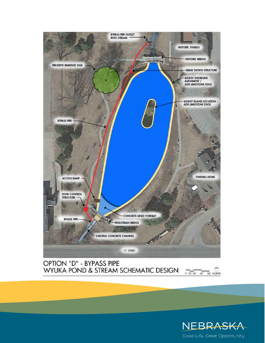

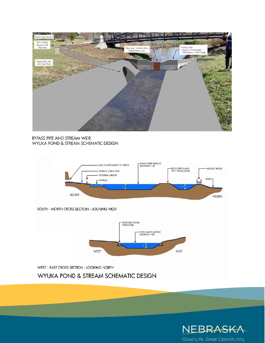

NEBRASKA

Good Life. Great Opportunity.

WEST - EAST CROSS SECTION - LOOKING NORTH

WYUKA POND & STREAM SCHEMATIC DESIGN

WEST

SOUTH - NORTH CROSS SECTION - LOOKING WEST



PROPOSED STONE<br>POND EDGE

Г

POND WATER SURFACE<br>ELEVATION 1188

 $\mathbb{P}$ 

Δ

EAST



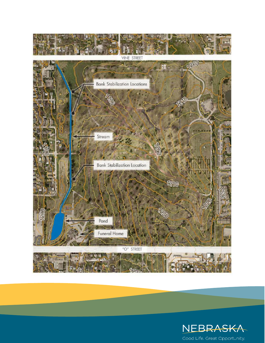

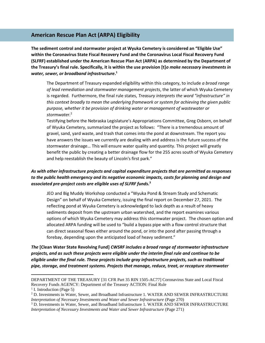# **American Rescue Plan Act (ARPA) Eligibility**

**The sediment control and stormwater project at Wyuka Cemetery is considered an "Eligible Use" within the Coronavirus State Fiscal Recovery Fund and the Coronavirus Local Fiscal Recovery Fund (SLFRF) established under the American Rescue Plan Act (ARPA) as determined by the Department of the Treasury's final rule. Specifically, it is within the use provision [t]***o make necessary investments in water, sewer, or broadband infrastructure***. 1**

The Department of Treasury expanded eligibility within this category, to include *a broad range of lead remediation and stormwater management projects*, the latter of which Wyuka Cemetery is regarded. Furthermore, the final rule states, *Treasury interprets the word "infrastructure" in this context broadly to mean the underlying framework or system for achieving the given public purpose, whether it be provision of drinking water or management of wastewater or stormwater.*<sup>2</sup>

Testifying before the Nebraska Legislature's Appropriations Committee, Greg Osborn, on behalf of Wyuka Cemetery, summarized the project as follows: "There is a tremendous amount of gravel, sand, yard waste, and trash that comes into the pond at downstream. The report you have answers the issues we currently are dealing with and address is the future success of the stormwater drainage… This will ensure water quality and quantity. This project will greatly benefit the public by creating a better drainage flow for the 255 acres south of Wyuka Cemetery and help reestablish the beauty of Lincoln's first park."

### *As with other infrastructure projects and capital expenditure projects that are permitted as responses to the public health emergency and its negative economic impacts, costs for planning and design and associated pre-project costs are eligible uses of SLFRF funds.***<sup>3</sup>**

JEO and Big Muddy Workshop conducted a "Wyuka Pond & Stream Study and Schematic Design" on behalf of Wyuka Cemetery, issuing the final report on December 27, 2021. The reflecting pond at Wyuka Cemetery is acknowledged to lack depth as a result of heavy sediments deposit from the upstream urban watershed, and the report examines various options of which Wyuka Cemetery may address this stormwater project. The chosen option and allocated ARPA funding will be used to "build a bypass pipe with a flow control structure that can direct seasonal flows either around the pond, or into the pond after passing through a forebay, depending upon the anticipated load of heavy sediment."

*The* **[Clean Water State Revolving Fund]** *CWSRF includes a broad range of stormwater infrastructure projects, and as such these projects were eligible under the interim final rule and continue to be eligible under the final rule. These projects include gray infrastructure projects, such as traditional pipe, storage, and treatment systems. Projects that manage, reduce, treat, or recapture stormwater* 

DEPARTMENT OF THE TREASURY [31 CFR Part 35 RIN 1505-AC77] Coronavirus State and Local Fiscal Recovery Funds AGENCY: Department of the Treasury ACTION: Final Rule

<sup>&</sup>lt;sup>1</sup> I. Introduction (Page 5)

<sup>&</sup>lt;sup>2</sup> D. Investments in Water, Sewer, and Broadband Infrastructure 1. WATER AND SEWER INFRASTRUCTURE *Interpretation of Necessary Investments and Water and Sewer Infrastructure* (Page 270)

<sup>3</sup> D. Investments in Water, Sewer, and Broadband Infrastructure 1. WATER AND SEWER INFRASTRUCTURE *Interpretation of Necessary Investments and Water and Sewer Infrastructure* (Page 271)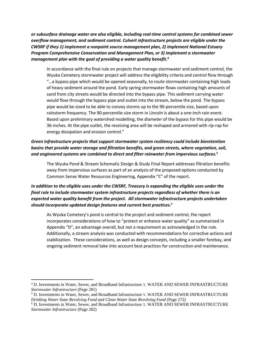*or subsurface drainage water are also eligible, including real-time control systems for combined sewer overflow management, and sediment control. Culvert infrastructure projects are eligible under the CWSRF if they 1) implement a nonpoint source management plan, 2) implement National Estuary Program Comprehensive Conservation and Management Plan, or 3) implement a stormwater management plan with the goal of providing a water quality benefit.***<sup>4</sup>**

In accordance with the final rule on projects that manage stormwater and sediment control, the Wyuka Cemetery stormwater project will address the eligibility criteria and control flow through "…a bypass pipe which would be opened seasonally, to route stormwater containing high loads of heavy sediment around the pond. Early spring stormwater flows containing high amounts of sand from city streets would be directed into the bypass pipe. This sediment carrying water would flow through the bypass pipe and outlet into the stream, below the pond. The bypass pipe would be sized to be able to convey storms up to the 90-percentile size, based upon rainstorm frequency. The 90-percentile size storm in Lincoln is about a one-inch rain event. Based upon preliminary watershed modelling, the diameter of the bypass for this pipe would be 36-inches. At the pipe outlet, the receiving area will be reshaped and armored with rip-rap for energy dissipation and erosion control."

### *Green infrastructure projects that support stormwater system resiliency could include bioretention basins that provide water storage and filtration benefits, and green streets, where vegetation, soil, and engineered systems are combined to direct and filter rainwater from impervious surfaces.***<sup>5</sup>**

The Wyuka Pond & Stream Schematic Design & Study Final Report addresses filtration benefits away from impervious surfaces as part of an analysis of the proposed options conducted by Common Sense Water Resources Engineering, Appendix "C" of the report.

## *In addition to the eligible uses under the CWSRF, Treasury is expanding the eligible uses under the final rule to include stormwater system infrastructure projects regardless of whether there is an expected water quality benefit from the project. All stormwater infrastructure projects undertaken should incorporate updated design features and current best practices***.** 6

As Wyuka Cemetery's pond is central to the project and sediment control, the report incorporates considerations of how to "protect or enhance water quality" as summarized in Appendix "D", an advantage overall, but not a requirement as acknowledged in the rule. Additionally, a stream analysis was conducted with recommendations for corrective actions and stabilization. These considerations, as well as design concepts, including a smaller forebay, and ongoing sediment removal take into account best practices for construction and maintenance.

<sup>4</sup> D. Investments in Water, Sewer, and Broadband Infrastructure 1. WATER AND SEWER INFRASTRUCTURE *Stormwater Infrastructure* (Page 281)

<sup>5</sup> D. Investments in Water, Sewer, and Broadband Infrastructure 1. WATER AND SEWER INFRASTRUCTURE *Drinking Water State Revolving Fund and Clean Water State Revolving Fund* (Page 272)

<sup>6</sup> D. Investments in Water, Sewer, and Broadband Infrastructure 1. WATER AND SEWER INFRASTRUCTURE *Stormwater Infrastructure* (Page 282)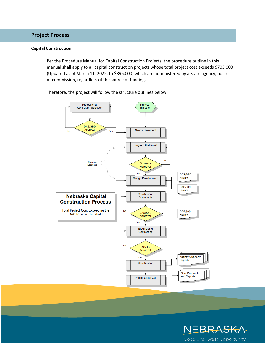# **Project Process**

### **Capital Construction**

Per the Procedure Manual for Capital Construction Projects, the procedure outline in this manual shall apply to all capital construction projects whose total project cost exceeds \$705,000 (Updated as of March 11, 2022, to \$896,000) which are administered by a State agency, board or commission, regardless of the source of funding.

Therefore, the project will follow the structure outlines below: